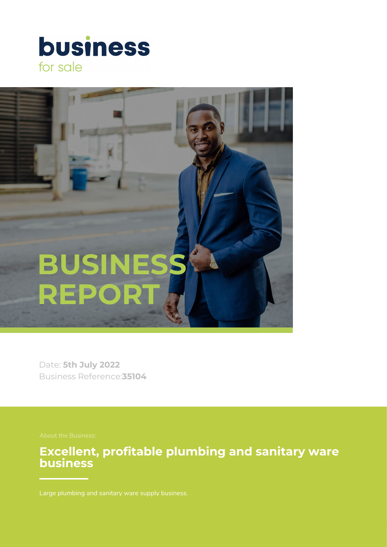



Date: **5th July 2022** Business Reference:**35104**

**Excellent, profitable plumbing and sanitary ware business**

Large plumbing and sanitary ware supply business.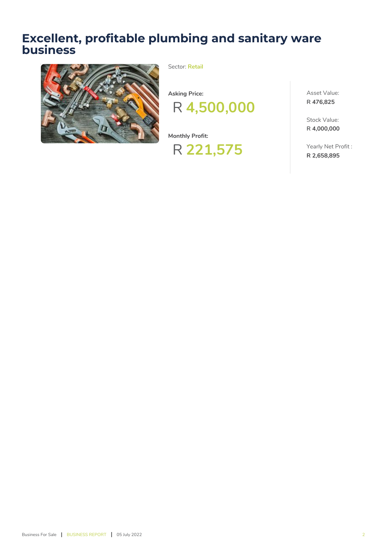# **Excellent, profitable plumbing and sanitary ware business**



Sector: **Retail**



**Monthly Profit:**



Asset Value: **R 476,825**

Stock Value: **R 4,000,000**

Yearly Net Profit : **R 2,658,895**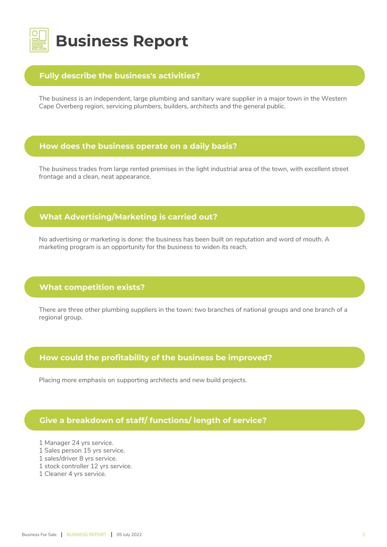

## **Fully describe the business's activities?**

The business is an independent, large plumbing and sanitary ware supplier in a major town in the Western Cape Overberg region, servicing plumbers, builders, architects and the general public.

#### **How does the business operate on a daily basis?**

The business trades from large rented premises in the light industrial area of the town, with excellent street frontage and a clean, neat appearance.

# **What Advertising/Marketing is carried out?**

No advertising or marketing is done: the business has been built on reputation and word of mouth. A marketing program is an opportunity for the business to widen its reach.

## **What competition exists?**

There are three other plumbing suppliers in the town: two branches of national groups and one branch of a regional group.

## **How could the profitability of the business be improved?**

Placing more emphasis on supporting architects and new build projects.

## **Give a breakdown of staff/ functions/ length of service?**

- 1 Manager 24 yrs service.
- 1 Sales person 15 yrs service.
- 1 sales/driver 8 yrs service.
- 1 stock controller 12 yrs service.
- 1 Cleaner 4 yrs service.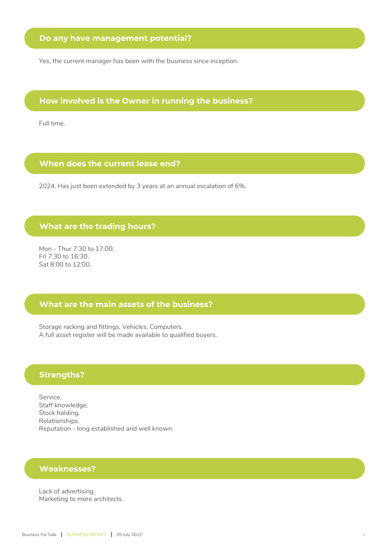Yes, the current manager has been with the business since inception.

#### **How involved is the Owner in running the business?**

Full time.

#### **When does the current lease end?**

2024. Has just been extended by 3 years at an annual escalation of 6%.

#### **What are the trading hours?**

Mon - Thur 7:30 to 17:00; Fri 7:30 to 16:30. Sat 8:00 to 12:00.

#### **What are the main assets of the business?**

Storage racking and fittings, Vehicles, Computers. A full asset register will be made available to qualified buyers.

#### **Strengths?**

Service. Staff knowledge. Stock holding. Relationships. Reputation - long established and well known.

#### **Weaknesses?**

Lack of advertising. Marketing to more architects.